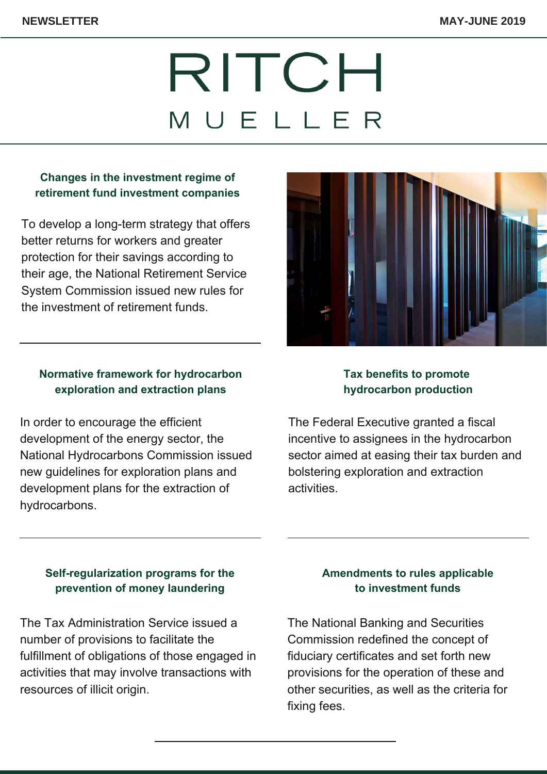# RITCH MUELLER

# **Changes in the investment regime of retirement fund investment companies**

To develop a long-term strategy that offers better returns for workers and greater protection for their savings according to their age, the National Retirement Service System [Commission](https://www.ritch.com.mx/uploads/Newsletter/2019/Mayo-Junio/Ingles/1-inversiones-fondos-retiro-ing.pdf) issued new rules for the investment of retirement funds.

### **Normative framework for hydrocarbon exploration and extraction plans**

In order to encourage the efficient development of the energy sector, the National Hydrocarbons Commission issued new guidelines for exploration plans and development plans for the extraction of [hydrocarbons.](https://www.ritch.com.mx/uploads/Newsletter/2019/Mayo-Junio/Ingles/2-planes-extraccion-ing.pdf)



#### **Tax benefits to promote hydrocarbon production**

The Federal Executive granted a fiscal incentive to assignees in the [hydrocarbon](https://www.ritch.com.mx/uploads/Newsletter/2019/Mayo-Junio/Ingles/3-estimulos-pemex-ing.pdf) sector aimed at easing their tax burden and bolstering exploration and extraction activities.

# **[Self-regularization](https://www.ritch.com.mx/uploads/Newsletter/2019/Mayo-Junio/Ingles/4-autoregularizacion-ing.pdf) programs for the prevention of money laundering**

The Tax Administration Service issued a number of provisions to facilitate the fulfillment of obligations of those engaged in activities that may involve transactions with resources of illicit origin.

# **Amendments to rules applicable to investment funds**

The National Banking and Securities [Commission](https://www.ritch.com.mx/uploads/Newsletter/2019/Mayo-Junio/Ingles/5-certificados-bursatiles-ing.pdf) redefined the concept of fiduciary certificates and set forth new provisions for the operation of these and other securities, as well as the criteria for fixing fees.